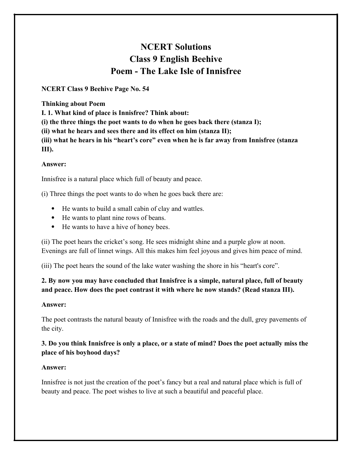# **NCERT Solutions Class 9 English Beehive Poem - The Lake Isle of Innisfree**

**NCERT Class 9 Beehive Page No. 54**

**Thinking about Poem**

**I. 1. What kind of place is Innisfree? Think about:**

**(i) the three things the poet wants to do when he goes back there (stanza I);**

**(ii) what he hears and sees there and its effect on him (stanza II);**

**(iii) what he hears in his "heart's core" even when he is far away from Innisfree (stanza III).**

## **Answer:**

Innisfree is a natural place which full of beauty and peace.

(i) Three things the poet wants to do when he goes back there are:

- He wants to build a small cabin of clay and wattles.
- He wants to plant nine rows of beans.
- He wants to have a hive of honey bees.

(ii) The poet hears the cricket's song. He sees midnight shine and a purple glow at noon. Evenings are full of linnet wings. All this makes him feel joyous and gives him peace of mind.

(iii) The poet hears the sound of the lake water washing the shore in his "heart's core".

# **2. By now you may have concluded that Innisfree is a simple, natural place, full of beauty and peace. How does the poet contrast it with where he now stands? (Read stanza III).**

## **Answer:**

The poet contrasts the natural beauty of Innisfree with the roads and the dull, grey pavements of the city.

# **3. Do you think Innisfree is only a place, or a state of mind? Does the poet actually miss the place of his boyhood days?**

# **Answer:**

Innisfree is not just the creation of the poet's fancy but a real and natural place which is full of beauty and peace. The poet wishes to live at such a beautiful and peaceful place.